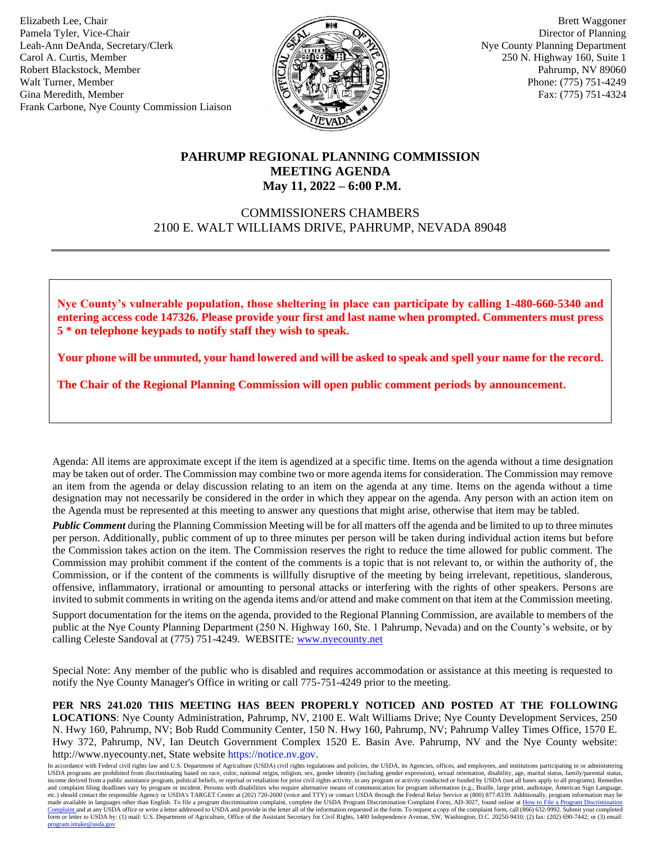Elizabeth Lee, Chair Pamela Tyler, Vice-Chair Leah-Ann DeAnda, Secretary/Clerk Carol A. Curtis, Member Robert Blackstock, Member Walt Turner, Member Gina Meredith, Member Frank Carbone, Nye County Commission Liaison



 Brett Waggoner Director of Planning Nye County Planning Department 250 N. Highway 160, Suite 1 Pahrump, NV 89060 Phone: (775) 751-4249 Fax: (775) 751-4324

## **PAHRUMP REGIONAL PLANNING COMMISSION MEETING AGENDA May 11, 2022 – 6:00 P.M.**

# COMMISSIONERS CHAMBERS 2100 E. WALT WILLIAMS DRIVE, PAHRUMP, NEVADA 89048

**Nye County's vulnerable population, those sheltering in place can participate by calling 1-480-660-5340 and entering access code 147326. Please provide your first and last name when prompted. Commenters must press 5 \* on telephone keypads to notify staff they wish to speak.**

**Your phone will be unmuted, your hand lowered and will be asked to speak and spell your name for the record.** 

**The Chair of the Regional Planning Commission will open public comment periods by announcement.**

Agenda: All items are approximate except if the item is agendized at a specific time. Items on the agenda without a time designation may be taken out of order. The Commission may combine two or more agenda items for consideration. The Commission may remove an item from the agenda or delay discussion relating to an item on the agenda at any time. Items on the agenda without a time designation may not necessarily be considered in the order in which they appear on the agenda. Any person with an action item on the Agenda must be represented at this meeting to answer any questions that might arise, otherwise that item may be tabled.

*Public Comment* during the Planning Commission Meeting will be for all matters off the agenda and be limited to up to three minutes per person. Additionally, public comment of up to three minutes per person will be taken during individual action items but before the Commission takes action on the item. The Commission reserves the right to reduce the time allowed for public comment. The Commission may prohibit comment if the content of the comments is a topic that is not relevant to, or within the authority of, the Commission, or if the content of the comments is willfully disruptive of the meeting by being irrelevant, repetitious, slanderous, offensive, inflammatory, irrational or amounting to personal attacks or interfering with the rights of other speakers. Persons are invited to submit comments in writing on the agenda items and/or attend and make comment on that item at the Commission meeting.

Support documentation for the items on the agenda, provided to the Regional Planning Commission, are available to members of the public at the Nye County Planning Department (250 N. Highway 160, Ste. 1 Pahrump, Nevada) and on the County's website, or by calling Celeste Sandoval at (775) 751-4249. WEBSITE: [www.nyecounty.net](http://www.nyecounty.net/)

Special Note: Any member of the public who is disabled and requires accommodation or assistance at this meeting is requested to notify the Nye County Manager's Office in writing or call 775-751-4249 prior to the meeting.

**PER NRS 241.020 THIS MEETING HAS BEEN PROPERLY NOTICED AND POSTED AT THE FOLLOWING LOCATIONS**: Nye County Administration, Pahrump, NV, 2100 E. Walt Williams Drive; Nye County Development Services, 250 N. Hwy 160, Pahrump, NV; Bob Rudd Community Center, 150 N. Hwy 160, Pahrump, NV; Pahrump Valley Times Office, 1570 E. Hwy 372, Pahrump, NV, Ian Deutch Government Complex 1520 E. Basin Ave. Pahrump, NV and the Nye County website: http://www.nyecounty.net, State website [https://notice.nv.gov.](https://notice.nv.gov/)

In accordance with Federal civil rights law and U.S. Department of Agriculture (USDA) civil rights regulations and policies, the USDA, its Agencies, offices, and employees, and institutions participating in or administerin income derived from a public assistance program, political beliefs, or reprisal or retaliation for prior civil rights activity, in any program or activity conducted or funded by USDA (not all bases apply to all programs). etc.) should contact the responsible Agency or USDA's TARGET Center at (202) 720-2600 (voice and TTY) or contact USDA through the Federal Relay Service at (800) 877-8339. Additionally, program information may be made available in languages other than English. To file a program discrimination complaint, complete the USDA Program Discrimination Complaint Form, AD-3027, found online at How to File a Program Discrimination<br>[Complaint a](https://www.ascr.usda.gov/how-file-program-discrimination-complaint) form or letter to USDA by: (1) mail: U.S. Department of Agriculture, Office of the Assistant Secretary for Civil Rights, 1400 Independence Avenue, SW, Washington, D.C. 20250-9410; (2) fax: (202) 690-7442; or (3) email: [program.intake@usda.gov](mailto:program.intake@usda.gov)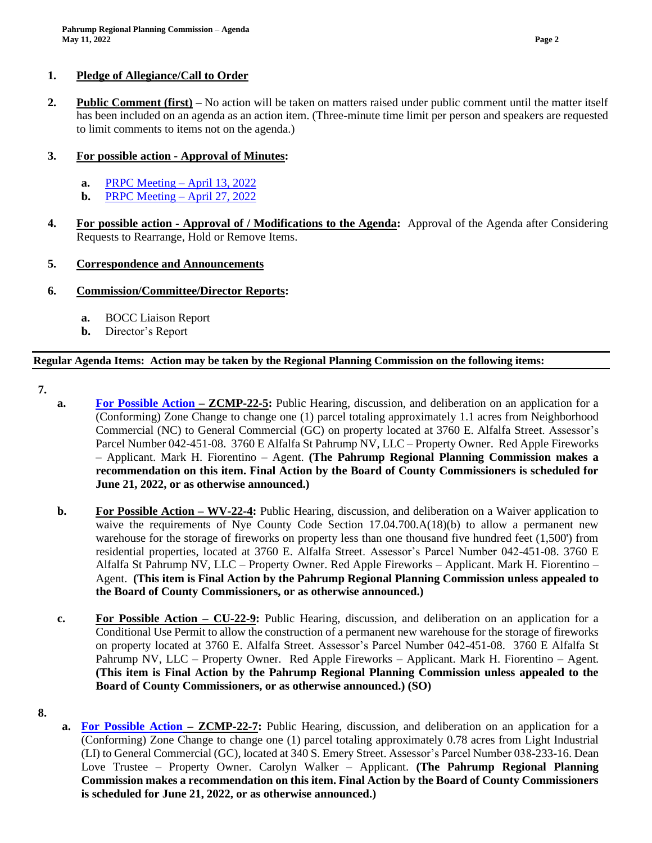#### **1. Pledge of Allegiance/Call to Order**

**2. Public Comment (first) –** No action will be taken on matters raised under public comment until the matter itself has been included on an agenda as an action item. (Three-minute time limit per person and speakers are requested to limit comments to items not on the agenda.)

### **3. For possible action - Approval of Minutes:**

- **a.** [PRPC Meeting –](https://nyecounty.granicus.com/MetaViewer.php?view_id=&event_id=1089&meta_id=119315) April 13, 2022
- **b.** [PRPC Meeting –](https://nyecounty.granicus.com/MetaViewer.php?view_id=&event_id=1089&meta_id=119317) April 27, 2022
- **4. For possible action - Approval of / Modifications to the Agenda:** Approval of the Agenda after Considering Requests to Rearrange, Hold or Remove Items.

### **5. Correspondence and Announcements**

### **6. Commission/Committee/Director Reports:**

- **a.** BOCC Liaison Report
- **b.** Director's Report

### **Regular Agenda Items: Action may be taken by the Regional Planning Commission on the following items:**

- **7.**
- **a. [For Possible Action](https://nyecounty.granicus.com/MetaViewer.php?view_id=&event_id=1089&meta_id=119325) – ZCMP-22-5:** Public Hearing, discussion, and deliberation on an application for a (Conforming) Zone Change to change one (1) parcel totaling approximately 1.1 acres from Neighborhood Commercial (NC) to General Commercial (GC) on property located at 3760 E. Alfalfa Street. Assessor's Parcel Number 042-451-08. 3760 E Alfalfa St Pahrump NV, LLC – Property Owner. Red Apple Fireworks – Applicant. Mark H. Fiorentino – Agent. **(The Pahrump Regional Planning Commission makes a recommendation on this item. Final Action by the Board of County Commissioners is scheduled for June 21, 2022, or as otherwise announced.)**
- **b. For Possible Action – WV-22-4:** Public Hearing, discussion, and deliberation on a Waiver application to waive the requirements of Nye County Code Section 17.04.700.A(18)(b) to allow a permanent new warehouse for the storage of fireworks on property less than one thousand five hundred feet (1,500') from residential properties, located at 3760 E. Alfalfa Street. Assessor's Parcel Number 042-451-08. 3760 E Alfalfa St Pahrump NV, LLC – Property Owner. Red Apple Fireworks – Applicant. Mark H. Fiorentino – Agent. **(This item is Final Action by the Pahrump Regional Planning Commission unless appealed to the Board of County Commissioners, or as otherwise announced.)**
- **c. For Possible Action – CU-22-9:** Public Hearing, discussion, and deliberation on an application for a Conditional Use Permit to allow the construction of a permanent new warehouse for the storage of fireworks on property located at 3760 E. Alfalfa Street. Assessor's Parcel Number 042-451-08. 3760 E Alfalfa St Pahrump NV, LLC – Property Owner. Red Apple Fireworks – Applicant. Mark H. Fiorentino – Agent. **(This item is Final Action by the Pahrump Regional Planning Commission unless appealed to the Board of County Commissioners, or as otherwise announced.) (SO)**
- **8.**
- **a. [For Possible Action](https://nyecounty.granicus.com/MetaViewer.php?view_id=&event_id=1089&meta_id=119327) – ZCMP-22-7:** Public Hearing, discussion, and deliberation on an application for a (Conforming) Zone Change to change one (1) parcel totaling approximately 0.78 acres from Light Industrial (LI) to General Commercial (GC), located at 340 S. Emery Street. Assessor's Parcel Number 038-233-16. Dean Love Trustee – Property Owner. Carolyn Walker – Applicant. **(The Pahrump Regional Planning Commission makes a recommendation on this item. Final Action by the Board of County Commissioners is scheduled for June 21, 2022, or as otherwise announced.)**